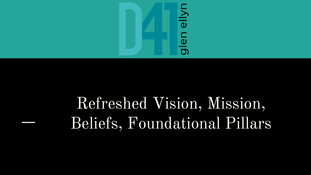

# Refreshed Vision, Mission, Beliefs, Foundational Pillars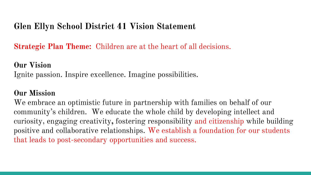## **Glen Ellyn School District 41 Vision Statement**

**Strategic Plan Theme:** Children are at the heart of all decisions.

### **Our Vision**

Ignite passion. Inspire excellence. Imagine possibilities.

## **Our Mission**

We embrace an optimistic future in partnership with families on behalf of our community's children. We educate the whole child by developing intellect and curiosity, engaging creativity**,** fostering responsibility and citizenship while building positive and collaborative relationships. We establish a foundation for our students that leads to post-secondary opportunities and success.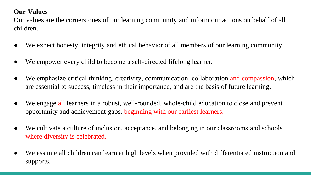#### **Our Values**

Our values are the cornerstones of our learning community and inform our actions on behalf of all children.

- We expect honesty, integrity and ethical behavior of all members of our learning community.
- We empower every child to become a self-directed lifelong learner.
- We emphasize critical thinking, creativity, communication, collaboration and compassion, which are essential to success, timeless in their importance, and are the basis of future learning.
- We engage all learners in a robust, well-rounded, whole-child education to close and prevent opportunity and achievement gaps, beginning with our earliest learners.
- We cultivate a culture of inclusion, acceptance, and belonging in our classrooms and schools where diversity is celebrated.
- We assume all children can learn at high levels when provided with differentiated instruction and supports.